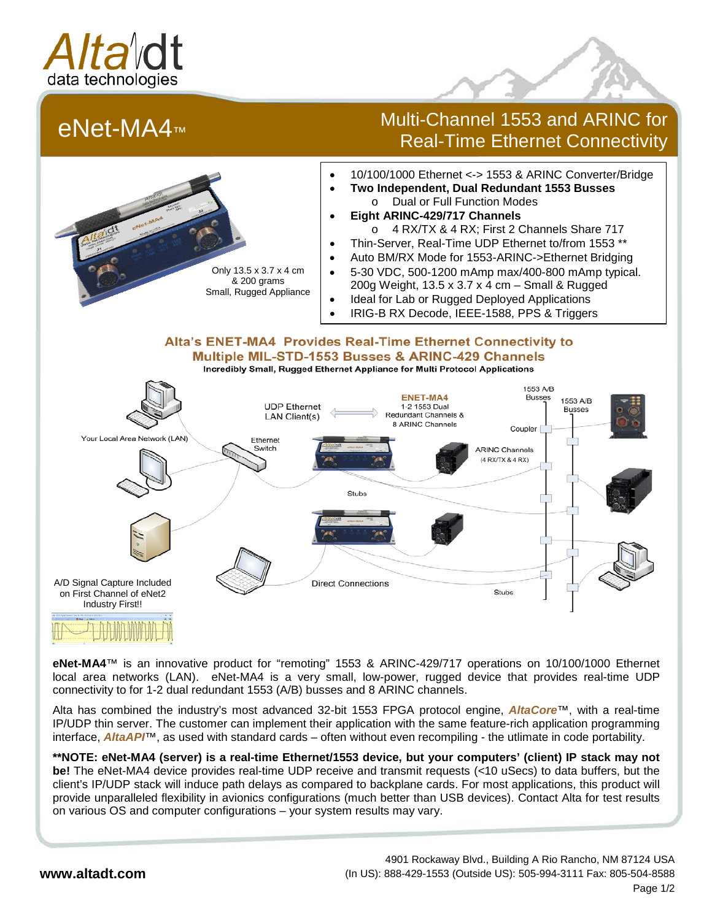

# eNet-MA4™

# Multi-Channel 1553 and ARINC for Real-Time Ethernet Connectivity



**eNet-MA4**™ is an innovative product for "remoting" 1553 & ARINC-429/717 operations on 10/100/1000 Ethernet local area networks (LAN). eNet-MA4 is a very small, low-power, rugged device that provides real-time UDP connectivity to for 1-2 dual redundant 1553 (A/B) busses and 8 ARINC channels.

Alta has combined the industry's most advanced 32-bit 1553 FPGA protocol engine, *AltaCore™*, with a real-time IP/UDP thin server. The customer can implement their application with the same feature-rich application programming interface, *AltaAPI™*, as used with standard cards – often without even recompiling - the utlimate in code portability.

**\*\*NOTE: eNet-MA4 (server) is a real-time Ethernet/1553 device, but your computers' (client) IP stack may not be!** The eNet-MA4 device provides real-time UDP receive and transmit requests (<10 uSecs) to data buffers, but the client's IP/UDP stack will induce path delays as compared to backplane cards. For most applications, this product will provide unparalleled flexibility in avionics configurations (much better than USB devices). Contact Alta for test results on various OS and computer configurations – your system results may vary.